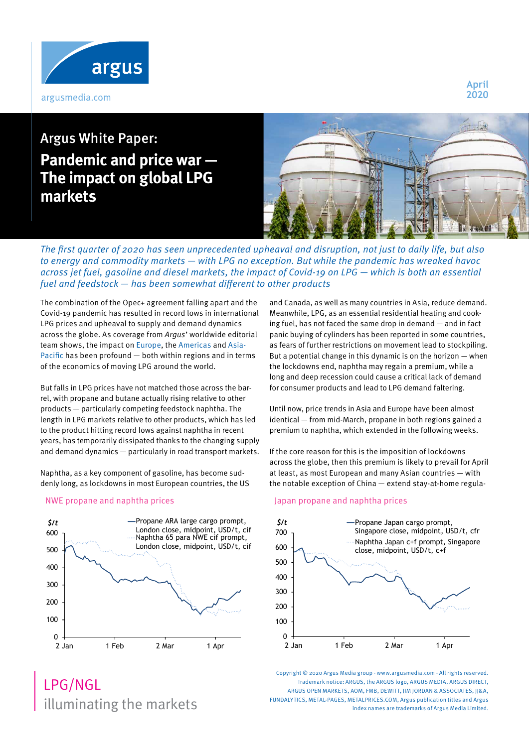

**April 2020**

# Argus White Paper: **Pandemic and price war — The impact on global LPG markets**



The first quarter of 2020 has seen unprecedented upheaval and disruption, not just to daily life, but also to energy and commodity markets — with LPG no exception. But while the pandemic has wreaked havoc across jet fuel, gasoline and diesel markets, the impact of Covid-19 on LPG — which is both an essential fuel and feedstock — has been somewhat different to other products

The combination of the Opec+ agreement falling apart and the Covid-19 pandemic has resulted in record lows in international LPG prices and upheaval to supply and demand dynamics across the globe. As coverage from Argus' worldwide editorial team shows, the impact on [Europe](https://www.argusmedia.com/en/news/2092971-nwe-propane-bucks-longheld-relationships?backToResults=true&selectedMarket=LPG), the [Americas](https://www.argusmedia.com/en/news/2097980-brazil-lpg-demand-spikes-in-response-to-quarantines?backToResults=true&selectedMarket=LPG) and [Asia-](https://www.argusmedia.com/en/news/2095052-indias-march-lpg-demand-rises-with-lockdown?backToResults=true&selectedMarket=LPG)[Pacific](https://www.argusmedia.com/en/news/2095052-indias-march-lpg-demand-rises-with-lockdown?backToResults=true&selectedMarket=LPG) has been profound — both within regions and in terms of the economics of moving LPG around the world.

But falls in LPG prices have not matched those across the barrel, with propane and butane actually rising relative to other products — particularly competing feedstock naphtha. The length in LPG markets relative to other products, which has led to the product hitting record lows against naphtha in recent years, has temporarily dissipated thanks to the changing supply and demand dynamics — particularly in road transport markets.

Naphtha, as a key component of gasoline, has become suddenly long, as lockdowns in most European countries, the US

# NWE propane and naphtha prices



illuminating the markets LPG/NGL

and Canada, as well as many countries in Asia, reduce demand. Meanwhile, LPG, as an essential residential heating and cooking fuel, has not faced the same drop in demand — and in fact panic buying of cylinders has been reported in some countries, as fears of further restrictions on movement lead to stockpiling. But a potential change in this dynamic is on the horizon — when the lockdowns end, naphtha may regain a premium, while a long and deep recession could cause a critical lack of demand for consumer products and lead to LPG demand faltering.

Until now, price trends in Asia and Europe have been almost identical — from mid-March, propane in both regions gained a premium to naphtha, which extended in the following weeks.

If the core reason for this is the imposition of lockdowns across the globe, then this premium is likely to prevail for April at least, as most European and many Asian countries — with the notable exception of China — extend stay-at-home regula-

## Japan propane and naphtha prices



Copyright © 2020 Argus Media group - www.argusmedia.com - All rights reserved. Trademark notice: ARGUS, the ARGUS logo, ARGUS MEDIA, ARGUS DIRECT, ARGUS OPEN MARKETS, AOM, FMB, DEWITT, IIM JORDAN & ASSOCIATES, II&A, FUNDALYTICS, METAL-PAGES, METALPRICES.COM, Argus publication titles and Argus index names are trademarks of Argus Media Limited.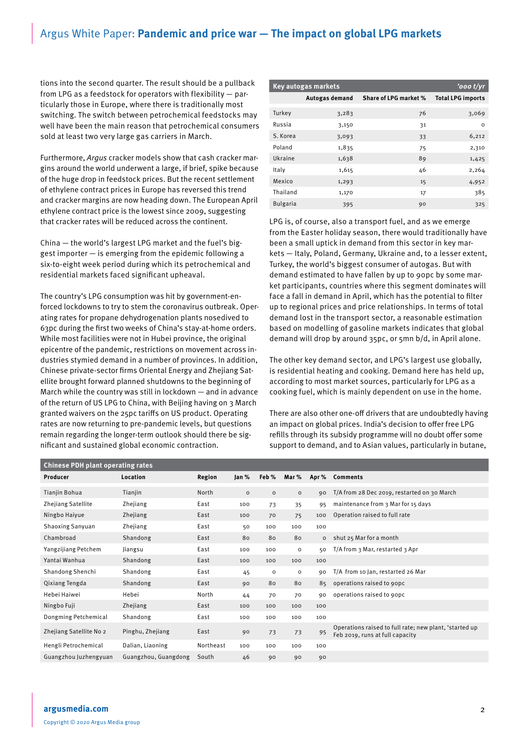# Argus White Paper: **Pandemic and price war — The impact on global LPG markets**

tions into the second quarter. The result should be a pullback from LPG as a feedstock for operators with flexibility — particularly those in Europe, where there is traditionally most switching. The switch between petrochemical feedstocks may well have been the main reason that petrochemical consumers sold at least two very large gas carriers in March.

Furthermore, Argus cracker models show that cash cracker margins around the world underwent a large, if brief, spike because of the huge drop in feedstock prices. But the recent settlement of ethylene contract prices in Europe has reversed this trend and cracker margins are now heading down. The European April ethylene contract price is the lowest since 2009, suggesting that cracker rates will be reduced across the continent.

China — the world's largest LPG market and the fuel's biggest importer — is emerging from the epidemic following a six-to-eight week period during which its petrochemical and residential markets faced significant upheaval.

The country's LPG consumption was hit by government-enforced lockdowns to try to stem the coronavirus outbreak. Operating rates for propane dehydrogenation plants nosedived to 63pc during the first two weeks of China's stay-at-home orders. While most facilities were not in Hubei province, the original epicentre of the pandemic, restrictions on movement across industries stymied demand in a number of provinces. In addition, Chinese private-sector firms Oriental Energy and Zhejiang Satellite brought forward planned shutdowns to the beginning of March while the country was still in lockdown — and in advance of the return of US LPG to China, with Beijing having on 3 March granted waivers on the 25pc tariffs on US product. Operating rates are now returning to pre-pandemic levels, but questions remain regarding the longer-term outlook should there be significant and sustained global economic contraction.

| <b>Key autogas markets</b><br>'ooo t/yr |                |                       |                          |  |  |  |  |  |
|-----------------------------------------|----------------|-----------------------|--------------------------|--|--|--|--|--|
|                                         | Autogas demand | Share of LPG market % | <b>Total LPG imports</b> |  |  |  |  |  |
| Turkey                                  | 3,283          | 76                    | 3,069                    |  |  |  |  |  |
| Russia                                  | 3,150          | 31                    | $\Omega$                 |  |  |  |  |  |
| S. Korea                                | 3,093          | 33                    | 6,212                    |  |  |  |  |  |
| Poland                                  | 1,835          | 75                    | 2,310                    |  |  |  |  |  |
| Ukraine                                 | 1,638          | 89                    | 1,425                    |  |  |  |  |  |
| Italy                                   | 1,615          | 46                    | 2,264                    |  |  |  |  |  |
| Mexico                                  | 1,293          | 15                    | 4,952                    |  |  |  |  |  |
| Thailand                                | 1,170          | 17                    | 385                      |  |  |  |  |  |
| <b>Bulgaria</b>                         | 395            | 90                    | 325                      |  |  |  |  |  |

LPG is, of course, also a transport fuel, and as we emerge from the Easter holiday season, there would traditionally have been a small uptick in demand from this sector in key markets — Italy, Poland, Germany, Ukraine and, to a lesser extent, Turkey, the world's biggest consumer of autogas. But with demand estimated to have fallen by up to 90pc by some market participants, countries where this segment dominates will face a fall in demand in April, which has the potential to filter up to regional prices and price relationships. In terms of total demand lost in the transport sector, a reasonable estimation based on modelling of gasoline markets indicates that global demand will drop by around 35pc, or 5mn b/d, in April alone.

The other key demand sector, and LPG's largest use globally, is residential heating and cooking. Demand here has held up, according to most market sources, particularly for LPG as a cooking fuel, which is mainly dependent on use in the home.

There are also other one-off drivers that are undoubtedly having an impact on global prices. India's decision to offer free LPG refills through its subsidy programme will no doubt offer some support to demand, and to Asian values, particularly in butane,

| <b>Chinese PDH plant operating rates</b> |                      |           |         |                |                     |         |                                                                                           |  |  |
|------------------------------------------|----------------------|-----------|---------|----------------|---------------------|---------|-------------------------------------------------------------------------------------------|--|--|
| Producer                                 | Location             | Region    | Jan%    | Feb %          | Mar %               | Apr %   | <b>Comments</b>                                                                           |  |  |
| Tianjin Bohua                            | Tianjin              | North     | $\circ$ | $\mathsf{o}\,$ | $\mathsf{o}\xspace$ | 90      | T/A from 28 Dec 2019, restarted on 30 March                                               |  |  |
| Zhejiang Satellite                       | Zhejiang             | East      | 100     | 73             | 35                  | 95      | maintenance from 3 Mar for 15 days                                                        |  |  |
| Ningbo Haiyue                            | Zhejiang             | East      | 100     | 70             | 75                  | 100     | Operation raised to full rate                                                             |  |  |
| <b>Shaoxing Sanyuan</b>                  | Zhejiang             | East      | 50      | 100            | 100                 | 100     |                                                                                           |  |  |
| Chambroad                                | Shandong             | East      | 80      | 80             | 80                  | $\circ$ | shut 25 Mar for a month                                                                   |  |  |
| Yangzijiang Petchem                      | Jiangsu              | East      | 100     | 100            | 0                   | 50      | T/A from 3 Mar, restarted 3 Apr                                                           |  |  |
| Yantai Wanhua                            | Shandong             | East      | 100     | 100            | 100                 | 100     |                                                                                           |  |  |
| Shandong Shenchi                         | Shandong             | East      | 45      | $\mathsf{o}\,$ | $\mathsf{o}\xspace$ | 90      | T/A from 10 Jan, restarted 26 Mar                                                         |  |  |
| Qixiang Tengda                           | Shandong             | East      | 90      | 80             | 80                  | 85      | operations raised to 90pc                                                                 |  |  |
| Hebei Haiwei                             | Hebei                | North     | 44      | 70             | 70                  | 90      | operations raised to 90pc                                                                 |  |  |
| Ningbo Fuji                              | Zhejiang             | East      | 100     | 100            | 100                 | 100     |                                                                                           |  |  |
| Dongming Petchemical                     | Shandong             | East      | 100     | 100            | 100                 | 100     |                                                                                           |  |  |
| Zhejiang Satellite No 2                  | Pinghu, Zhejiang     | East      | 90      | 73             | 73                  | 95      | Operations raised to full rate; new plant, 'started up<br>Feb 2019, runs at full capacity |  |  |
| Hengli Petrochemical                     | Dalian, Liaoning     | Northeast | 100     | 100            | 100                 | 100     |                                                                                           |  |  |
| Guangzhou Juzhengyuan                    | Guangzhou, Guangdong | South     | 46      | 90             | 90                  | 90      |                                                                                           |  |  |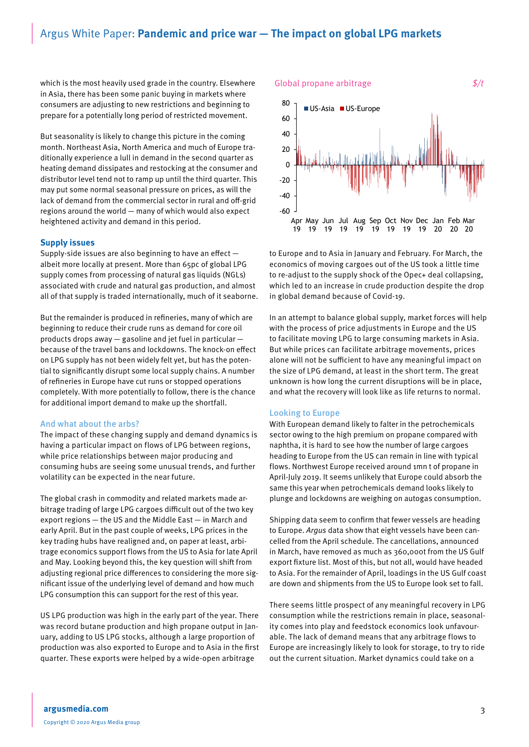which is the most heavily used grade in the country. Elsewhere in Asia, there has been some panic buying in markets where consumers are adjusting to new restrictions and beginning to prepare for a potentially long period of restricted movement.

But seasonality is likely to change this picture in the coming month. Northeast Asia, North America and much of Europe traditionally experience a lull in demand in the second quarter as heating demand dissipates and restocking at the consumer and distributor level tend not to ramp up until the third quarter. This may put some normal seasonal pressure on prices, as will the lack of demand from the commercial sector in rural and off-grid regions around the world — many of which would also expect heightened activity and demand in this period.

#### **Supply issues**

Supply-side issues are also beginning to have an effect albeit more locally at present. More than 65pc of global LPG supply comes from processing of natural gas liquids (NGLs) associated with crude and natural gas production, and almost all of that supply is traded internationally, much of it seaborne.

But the remainder is produced in refineries, many of which are beginning to reduce their crude runs as demand for core oil products drops away — gasoline and jet fuel in particular because of the travel bans and lockdowns. The knock-on effect on LPG supply has not been widely felt yet, but has the potential to significantly disrupt some local supply chains. A number of refineries in Europe have cut runs or stopped operations completely. With more potentially to follow, there is the chance for additional import demand to make up the shortfall.

#### And what about the arbs?

The impact of these changing supply and demand dynamics is having a particular impact on flows of LPG between regions, while price relationships between major producing and consuming hubs are seeing some unusual trends, and further volatility can be expected in the near future.

The global crash in commodity and related markets made arbitrage trading of large LPG cargoes difficult out of the two key export regions — the US and the Middle East — in March and early April. But in the past couple of weeks, LPG prices in the key trading hubs have realigned and, on paper at least, arbitrage economics support flows from the US to Asia for late April and May. Looking beyond this, the key question will shift from adjusting regional price differences to considering the more significant issue of the underlying level of demand and how much LPG consumption this can support for the rest of this year.

US LPG production was high in the early part of the year. There was record butane production and high propane output in January, adding to US LPG stocks, although a large proportion of production was also exported to Europe and to Asia in the first quarter. These exports were helped by a wide-open arbitrage



to Europe and to Asia in January and February. For March, the economics of moving cargoes out of the US took a little time to re-adjust to the supply shock of the Opec+ deal collapsing, which led to an increase in crude production despite the drop in global demand because of Covid-19.

In an attempt to balance global supply, market forces will help with the process of price adjustments in Europe and the US to facilitate moving LPG to large consuming markets in Asia. But while prices can facilitate arbitrage movements, prices alone will not be sufficient to have any meaningful impact on the size of LPG demand, at least in the short term. The great unknown is how long the current disruptions will be in place, and what the recovery will look like as life returns to normal.

#### Looking to Europe

With European demand likely to falter in the petrochemicals sector owing to the high premium on propane compared with naphtha, it is hard to see how the number of large cargoes heading to Europe from the US can remain in line with typical flows. Northwest Europe received around 1mn t of propane in April-July 2019. It seems unlikely that Europe could absorb the same this year when petrochemicals demand looks likely to plunge and lockdowns are weighing on autogas consumption.

Shipping data seem to confirm that fewer vessels are heading to Europe. Argus data show that eight vessels have been cancelled from the April schedule. The cancellations, announced in March, have removed as much as 360,000t from the US Gulf export fixture list. Most of this, but not all, would have headed to Asia. For the remainder of April, loadings in the US Gulf coast are down and shipments from the US to Europe look set to fall.

There seems little prospect of any meaningful recovery in LPG consumption while the restrictions remain in place, seasonality comes into play and feedstock economics look unfavourable. The lack of demand means that any arbitrage flows to Europe are increasingly likely to look for storage, to try to ride out the current situation. Market dynamics could take on a